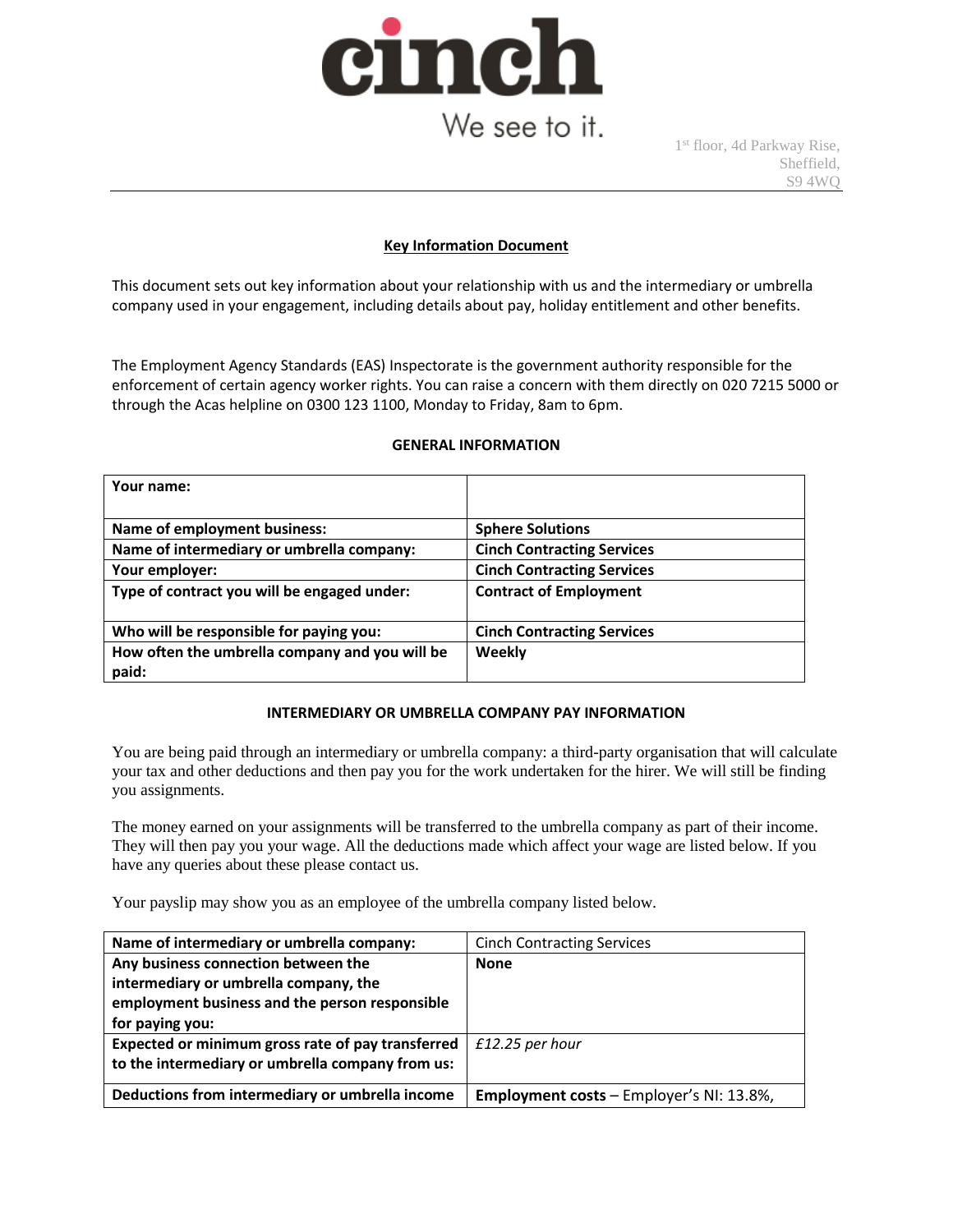

# We see to it.

1 st floor, 4d Parkway Rise, Sheffield, S9 4WQ

### **Key Information Document**

This document sets out key information about your relationship with us and the intermediary or umbrella company used in your engagement, including details about pay, holiday entitlement and other benefits.

The Employment Agency Standards (EAS) Inspectorate is the government authority responsible for the enforcement of certain agency worker rights. You can raise a concern with them directly on 020 7215 5000 or through the Acas helpline on 0300 123 1100, Monday to Friday, 8am to 6pm.

| Your name:                                     |                                   |
|------------------------------------------------|-----------------------------------|
|                                                |                                   |
| <b>Name of employment business:</b>            | <b>Sphere Solutions</b>           |
| Name of intermediary or umbrella company:      | <b>Cinch Contracting Services</b> |
| Your employer:                                 | <b>Cinch Contracting Services</b> |
| Type of contract you will be engaged under:    | <b>Contract of Employment</b>     |
|                                                |                                   |
| Who will be responsible for paying you:        | <b>Cinch Contracting Services</b> |
| How often the umbrella company and you will be | Weekly                            |
| paid:                                          |                                   |

#### **GENERAL INFORMATION**

#### **INTERMEDIARY OR UMBRELLA COMPANY PAY INFORMATION**

You are being paid through an intermediary or umbrella company: a third-party organisation that will calculate your tax and other deductions and then pay you for the work undertaken for the hirer. We will still be finding you assignments.

The money earned on your assignments will be transferred to the umbrella company as part of their income. They will then pay you your wage. All the deductions made which affect your wage are listed below. If you have any queries about these please contact us.

Your payslip may show you as an employee of the umbrella company listed below.

| Name of intermediary or umbrella company:         | <b>Cinch Contracting Services</b>               |
|---------------------------------------------------|-------------------------------------------------|
| Any business connection between the               | <b>None</b>                                     |
| intermediary or umbrella company, the             |                                                 |
| employment business and the person responsible    |                                                 |
| for paying you:                                   |                                                 |
| Expected or minimum gross rate of pay transferred | $£12.25$ per hour                               |
| to the intermediary or umbrella company from us:  |                                                 |
|                                                   |                                                 |
| Deductions from intermediary or umbrella income   | <b>Employment costs - Employer's NI: 13.8%,</b> |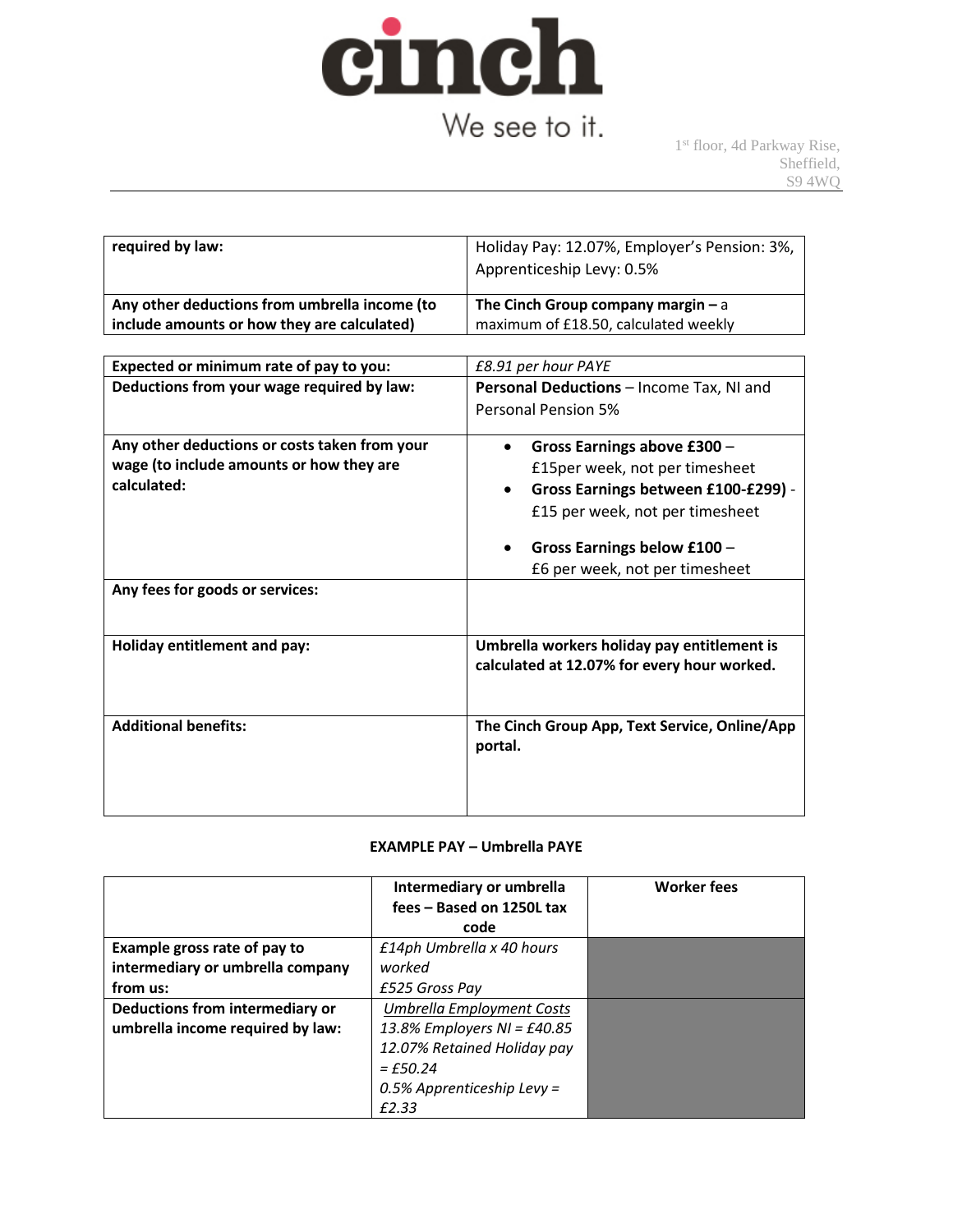

# We see to it.

1 st floor, 4d Parkway Rise, Sheffield, S9 4WQ

| required by law:                              | Holiday Pay: 12.07%, Employer's Pension: 3%,<br>Apprenticeship Levy: 0.5% |
|-----------------------------------------------|---------------------------------------------------------------------------|
| Any other deductions from umbrella income (to | The Cinch Group company margin $- a$                                      |
| include amounts or how they are calculated)   | maximum of £18.50, calculated weekly                                      |

| Expected or minimum rate of pay to you:       | £8.91 per hour PAYE                                                                        |  |  |
|-----------------------------------------------|--------------------------------------------------------------------------------------------|--|--|
| Deductions from your wage required by law:    | Personal Deductions - Income Tax, NI and                                                   |  |  |
|                                               | Personal Pension 5%                                                                        |  |  |
| Any other deductions or costs taken from your | Gross Earnings above £300 -                                                                |  |  |
| wage (to include amounts or how they are      | £15per week, not per timesheet                                                             |  |  |
| calculated:                                   | Gross Earnings between £100-£299) -<br>$\bullet$                                           |  |  |
|                                               | £15 per week, not per timesheet                                                            |  |  |
|                                               | Gross Earnings below £100 -<br>£6 per week, not per timesheet                              |  |  |
| Any fees for goods or services:               |                                                                                            |  |  |
|                                               |                                                                                            |  |  |
| Holiday entitlement and pay:                  | Umbrella workers holiday pay entitlement is<br>calculated at 12.07% for every hour worked. |  |  |
|                                               |                                                                                            |  |  |
|                                               |                                                                                            |  |  |
| <b>Additional benefits:</b>                   | The Cinch Group App, Text Service, Online/App<br>portal.                                   |  |  |
|                                               |                                                                                            |  |  |
|                                               |                                                                                            |  |  |

## **EXAMPLE PAY – Umbrella PAYE**

|                                  | Intermediary or umbrella<br>fees - Based on 1250L tax | <b>Worker fees</b> |
|----------------------------------|-------------------------------------------------------|--------------------|
|                                  | code                                                  |                    |
| Example gross rate of pay to     | £14ph Umbrella x 40 hours                             |                    |
| intermediary or umbrella company | worked                                                |                    |
| from us:                         | £525 Gross Pay                                        |                    |
| Deductions from intermediary or  | Umbrella Employment Costs                             |                    |
| umbrella income required by law: | 13.8% Employers NI = £40.85                           |                    |
|                                  | 12.07% Retained Holiday pay                           |                    |
|                                  | $=$ £50.24                                            |                    |
|                                  | 0.5% Apprenticeship Levy =                            |                    |
|                                  | F2.33                                                 |                    |